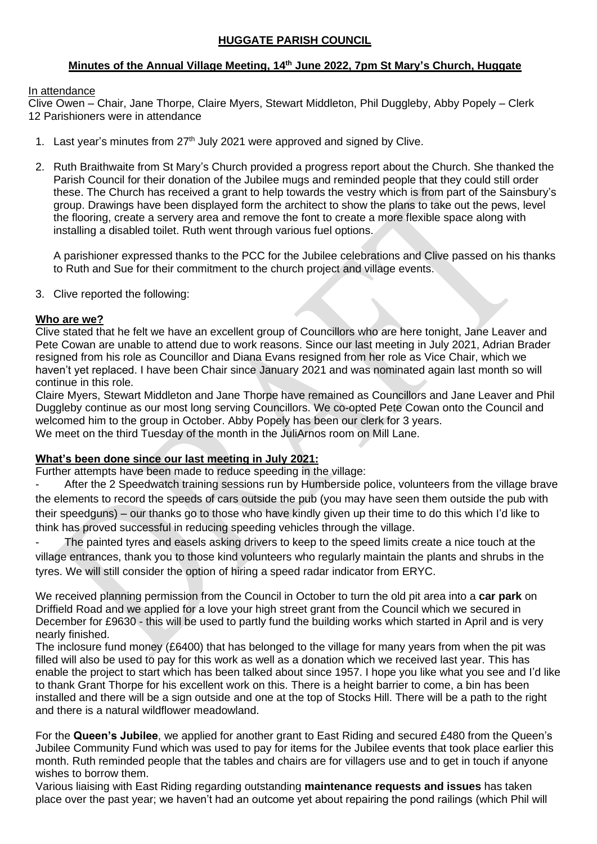# **HUGGATE PARISH COUNCIL**

# **Minutes of the Annual Village Meeting, 14th June 2022, 7pm St Mary's Church, Huggate**

#### In attendance

Clive Owen – Chair, Jane Thorpe, Claire Myers, Stewart Middleton, Phil Duggleby, Abby Popely – Clerk 12 Parishioners were in attendance

- 1. Last year's minutes from 27<sup>th</sup> July 2021 were approved and signed by Clive.
- 2. Ruth Braithwaite from St Mary's Church provided a progress report about the Church. She thanked the Parish Council for their donation of the Jubilee mugs and reminded people that they could still order these. The Church has received a grant to help towards the vestry which is from part of the Sainsbury's group. Drawings have been displayed form the architect to show the plans to take out the pews, level the flooring, create a servery area and remove the font to create a more flexible space along with installing a disabled toilet. Ruth went through various fuel options.

A parishioner expressed thanks to the PCC for the Jubilee celebrations and Clive passed on his thanks to Ruth and Sue for their commitment to the church project and village events.

3. Clive reported the following:

#### **Who are we?**

Clive stated that he felt we have an excellent group of Councillors who are here tonight, Jane Leaver and Pete Cowan are unable to attend due to work reasons. Since our last meeting in July 2021, Adrian Brader resigned from his role as Councillor and Diana Evans resigned from her role as Vice Chair, which we haven't yet replaced. I have been Chair since January 2021 and was nominated again last month so will continue in this role.

Claire Myers, Stewart Middleton and Jane Thorpe have remained as Councillors and Jane Leaver and Phil Duggleby continue as our most long serving Councillors. We co-opted Pete Cowan onto the Council and welcomed him to the group in October. Abby Popely has been our clerk for 3 years. We meet on the third Tuesday of the month in the JuliArnos room on Mill Lane.

### **What's been done since our last meeting in July 2021:**

Further attempts have been made to reduce speeding in the village:

- After the 2 Speedwatch training sessions run by Humberside police, volunteers from the village brave the elements to record the speeds of cars outside the pub (you may have seen them outside the pub with their speedguns) – our thanks go to those who have kindly given up their time to do this which I'd like to think has proved successful in reducing speeding vehicles through the village.

The painted tyres and easels asking drivers to keep to the speed limits create a nice touch at the village entrances, thank you to those kind volunteers who regularly maintain the plants and shrubs in the tyres. We will still consider the option of hiring a speed radar indicator from ERYC.

We received planning permission from the Council in October to turn the old pit area into a **car park** on Driffield Road and we applied for a love your high street grant from the Council which we secured in December for £9630 - this will be used to partly fund the building works which started in April and is very nearly finished.

The inclosure fund money (£6400) that has belonged to the village for many years from when the pit was filled will also be used to pay for this work as well as a donation which we received last year. This has enable the project to start which has been talked about since 1957. I hope you like what you see and I'd like to thank Grant Thorpe for his excellent work on this. There is a height barrier to come, a bin has been installed and there will be a sign outside and one at the top of Stocks Hill. There will be a path to the right and there is a natural wildflower meadowland.

For the **Queen's Jubilee**, we applied for another grant to East Riding and secured £480 from the Queen's Jubilee Community Fund which was used to pay for items for the Jubilee events that took place earlier this month. Ruth reminded people that the tables and chairs are for villagers use and to get in touch if anyone wishes to borrow them.

Various liaising with East Riding regarding outstanding **maintenance requests and issues** has taken place over the past year; we haven't had an outcome yet about repairing the pond railings (which Phil will